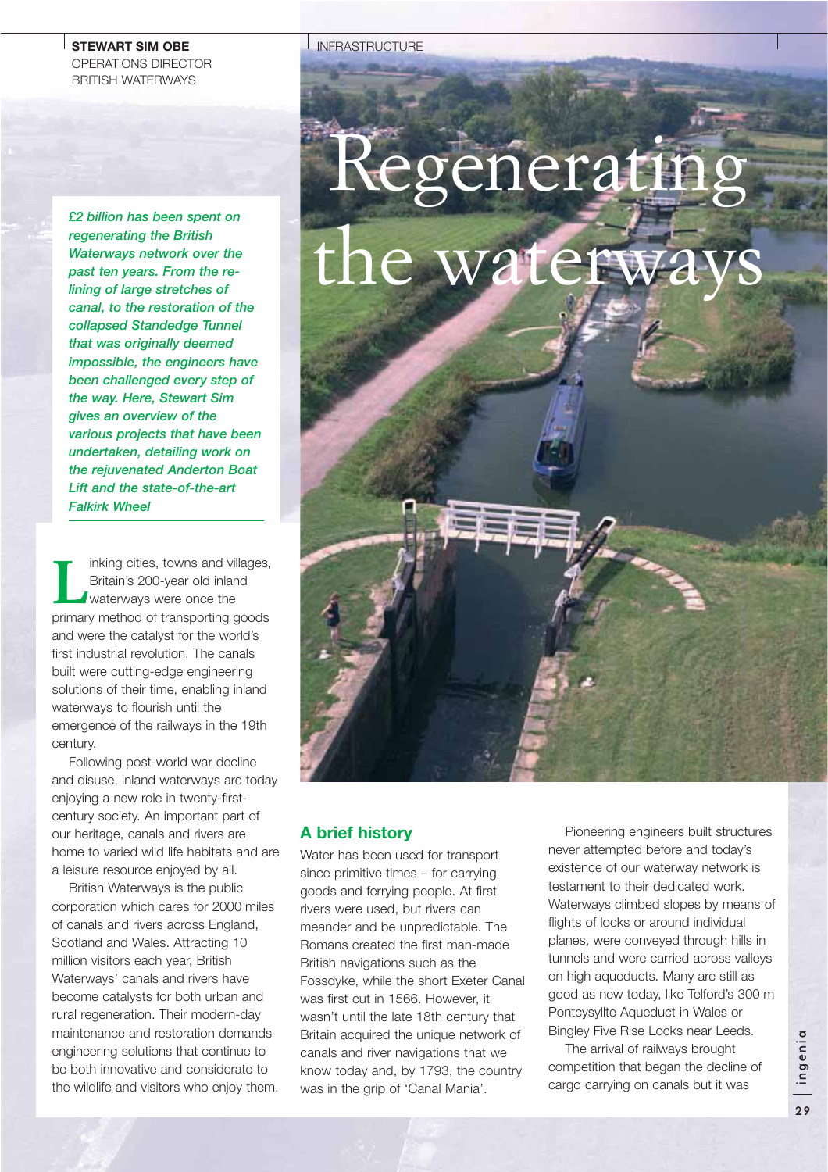## **STEWART SIM OBE** OPERATIONS DIRECTOR BRITISH WATERWAYS

*regenerating the British Waterways network over the past ten years. From the relining of large stretches of canal, to the restoration of the collapsed Standedge Tunnel that was originally deemed impossible, the engineers have been challenged every step of the way. Here, Stewart Sim gives an overview of the various projects that have been undertaken, detailing work on the rejuvenated Anderton Boat Lift and the state-of-the-art Falkirk Wheel*

Inking cities, towns and villages,<br>Britain's 200-year old inland<br>waterways were once the<br>primar: mathod of transporting apode Britain's 200-year old inland waterways were once the primary method of transporting goods and were the catalyst for the world's first industrial revolution. The canals built were cutting-edge engineering solutions of their time, enabling inland waterways to flourish until the emergence of the railways in the 19th century.

Following post-world war decline and disuse, inland waterways are today enjoying a new role in twenty-firstcentury society. An important part of our heritage, canals and rivers are home to varied wild life habitats and are a leisure resource enjoyed by all.

British Waterways is the public corporation which cares for 2000 miles of canals and rivers across England, Scotland and Wales. Attracting 10 million visitors each year, British Waterways' canals and rivers have become catalysts for both urban and rural regeneration. Their modern-day maintenance and restoration demands engineering solutions that continue to be both innovative and considerate to the wildlife and visitors who enjoy them.

#### INFRASTRUCTURE

# Regenerating E2 billion has been spent on<br>regenerating the British<br>Waterways network over the<br>past ten years. From the re-<br>lining of large stretches of

# **A brief history**

Water has been used for transport since primitive times – for carrying goods and ferrying people. At first rivers were used, but rivers can meander and be unpredictable. The Romans created the first man-made British navigations such as the Fossdyke, while the short Exeter Canal was first cut in 1566. However, it wasn't until the late 18th century that Britain acquired the unique network of canals and river navigations that we know today and, by 1793, the country was in the grip of 'Canal Mania'.

Pioneering engineers built structures never attempted before and today's existence of our waterway network is testament to their dedicated work. Waterways climbed slopes by means of flights of locks or around individual planes, were conveyed through hills in tunnels and were carried across valleys on high aqueducts. Many are still as good as new today, like Telford's 300 m Pontcysyllte Aqueduct in Wales or Bingley Five Rise Locks near Leeds.

The arrival of railways brought competition that began the decline of cargo carrying on canals but it was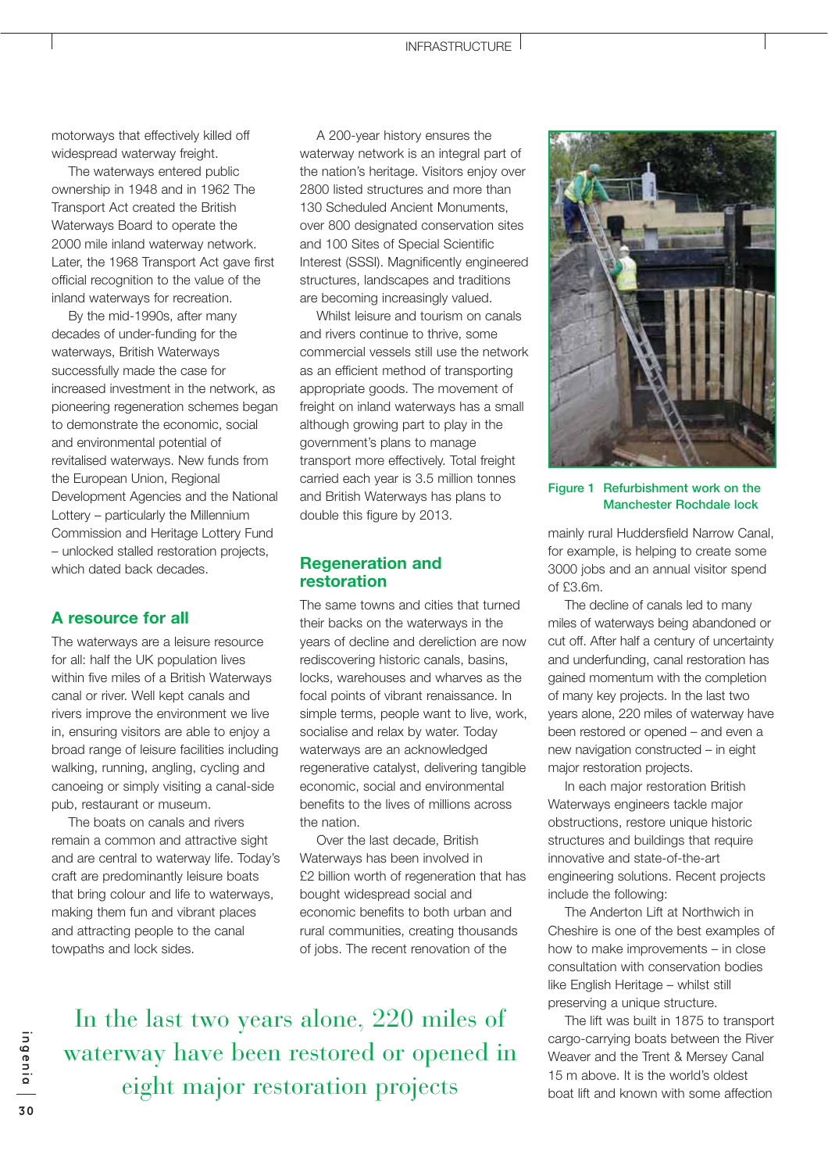motorways that effectively killed off widespread waterway freight.

The waterways entered public ownership in 1948 and in 1962 The Transport Act created the British Waterways Board to operate the 2000 mile inland waterway network. Later, the 1968 Transport Act gave first official recognition to the value of the inland waterways for recreation.

By the mid-1990s, after many decades of under-funding for the waterways, British Waterways successfully made the case for increased investment in the network, as pioneering regeneration schemes began to demonstrate the economic, social and environmental potential of revitalised waterways. New funds from the European Union, Regional Development Agencies and the National Lottery – particularly the Millennium Commission and Heritage Lottery Fund – unlocked stalled restoration projects, which dated back decades.

# **A resource for all**

The waterways are a leisure resource for all: half the UK population lives within five miles of a British Waterways canal or river. Well kept canals and rivers improve the environment we live in, ensuring visitors are able to enjoy a broad range of leisure facilities including walking, running, angling, cycling and canoeing or simply visiting a canal-side pub, restaurant or museum.

The boats on canals and rivers remain a common and attractive sight and are central to waterway life. Today's craft are predominantly leisure boats that bring colour and life to waterways, making them fun and vibrant places and attracting people to the canal towpaths and lock sides.

A 200-year history ensures the waterway network is an integral part of the nation's heritage. Visitors enjoy over 2800 listed structures and more than 130 Scheduled Ancient Monuments, over 800 designated conservation sites and 100 Sites of Special Scientific Interest (SSSI). Magnificently engineered structures, landscapes and traditions are becoming increasingly valued.

Whilst leisure and tourism on canals and rivers continue to thrive, some commercial vessels still use the network as an efficient method of transporting appropriate goods. The movement of freight on inland waterways has a small although growing part to play in the government's plans to manage transport more effectively. Total freight carried each year is 3.5 million tonnes and British Waterways has plans to double this figure by 2013.

## **Regeneration and restoration**

The same towns and cities that turned their backs on the waterways in the years of decline and dereliction are now rediscovering historic canals, basins, locks, warehouses and wharves as the focal points of vibrant renaissance. In simple terms, people want to live, work, socialise and relax by water. Today waterways are an acknowledged regenerative catalyst, delivering tangible economic, social and environmental benefits to the lives of millions across the nation.

Over the last decade, British Waterways has been involved in £2 billion worth of regeneration that has bought widespread social and economic benefits to both urban and rural communities, creating thousands of jobs. The recent renovation of the

In the last two years alone, 220 miles of waterway have been restored or opened in eight major restoration projects



#### **Figure 1 Refurbishment work on the Manchester Rochdale lock**

mainly rural Huddersfield Narrow Canal, for example, is helping to create some 3000 jobs and an annual visitor spend of £3.6m.

The decline of canals led to many miles of waterways being abandoned or cut off. After half a century of uncertainty and underfunding, canal restoration has gained momentum with the completion of many key projects. In the last two years alone, 220 miles of waterway have been restored or opened – and even a new navigation constructed – in eight major restoration projects.

In each major restoration British Waterways engineers tackle major obstructions, restore unique historic structures and buildings that require innovative and state-of-the-art engineering solutions. Recent projects include the following:

The Anderton Lift at Northwich in Cheshire is one of the best examples of how to make improvements – in close consultation with conservation bodies like English Heritage – whilst still preserving a unique structure.

The lift was built in 1875 to transport cargo-carrying boats between the River Weaver and the Trent & Mersey Canal 15 m above. It is the world's oldest boat lift and known with some affection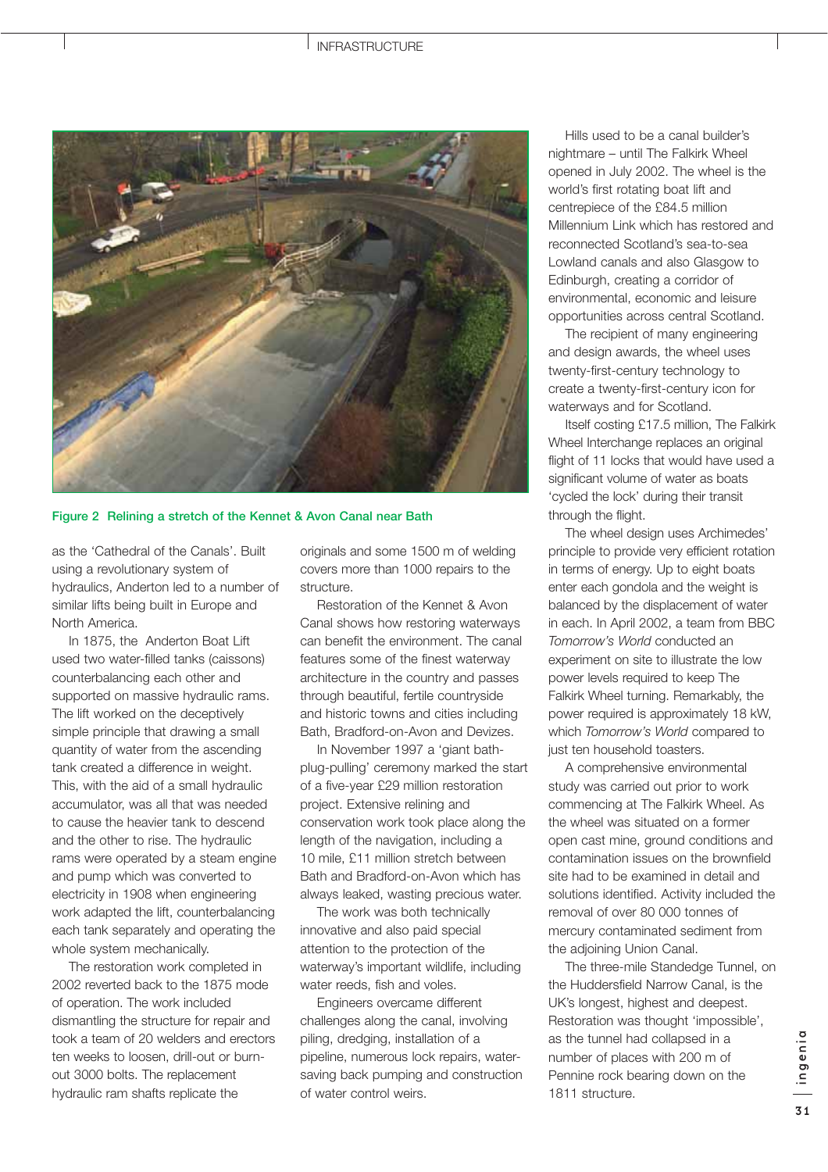#### INFRASTRUCTURE



**Figure 2 Relining a stretch of the Kennet & Avon Canal near Bath** 

as the 'Cathedral of the Canals'. Built using a revolutionary system of hydraulics, Anderton led to a number of similar lifts being built in Europe and North America.

In 1875, the Anderton Boat Lift used two water-filled tanks (caissons) counterbalancing each other and supported on massive hydraulic rams. The lift worked on the deceptively simple principle that drawing a small quantity of water from the ascending tank created a difference in weight. This, with the aid of a small hydraulic accumulator, was all that was needed to cause the heavier tank to descend and the other to rise. The hydraulic rams were operated by a steam engine and pump which was converted to electricity in 1908 when engineering work adapted the lift, counterbalancing each tank separately and operating the whole system mechanically.

The restoration work completed in 2002 reverted back to the 1875 mode of operation. The work included dismantling the structure for repair and took a team of 20 welders and erectors ten weeks to loosen, drill-out or burnout 3000 bolts. The replacement hydraulic ram shafts replicate the

originals and some 1500 m of welding covers more than 1000 repairs to the structure.

Restoration of the Kennet & Avon Canal shows how restoring waterways can benefit the environment. The canal features some of the finest waterway architecture in the country and passes through beautiful, fertile countryside and historic towns and cities including Bath, Bradford-on-Avon and Devizes.

In November 1997 a 'giant bathplug-pulling' ceremony marked the start of a five-year £29 million restoration project. Extensive relining and conservation work took place along the length of the navigation, including a 10 mile, £11 million stretch between Bath and Bradford-on-Avon which has always leaked, wasting precious water.

The work was both technically innovative and also paid special attention to the protection of the waterway's important wildlife, including water reeds, fish and voles.

Engineers overcame different challenges along the canal, involving piling, dredging, installation of a pipeline, numerous lock repairs, watersaving back pumping and construction of water control weirs.

Hills used to be a canal builder's nightmare – until The Falkirk Wheel opened in July 2002. The wheel is the world's first rotating boat lift and centrepiece of the £84.5 million Millennium Link which has restored and reconnected Scotland's sea-to-sea Lowland canals and also Glasgow to Edinburgh, creating a corridor of environmental, economic and leisure opportunities across central Scotland.

The recipient of many engineering and design awards, the wheel uses twenty-first-century technology to create a twenty-first-century icon for waterways and for Scotland.

Itself costing £17.5 million, The Falkirk Wheel Interchange replaces an original flight of 11 locks that would have used a significant volume of water as boats 'cycled the lock' during their transit through the flight.

The wheel design uses Archimedes' principle to provide very efficient rotation in terms of energy. Up to eight boats enter each gondola and the weight is balanced by the displacement of water in each. In April 2002, a team from BBC *Tomorrow's World* conducted an experiment on site to illustrate the low power levels required to keep The Falkirk Wheel turning. Remarkably, the power required is approximately 18 kW, which *Tomorrow's World* compared to just ten household toasters.

A comprehensive environmental study was carried out prior to work commencing at The Falkirk Wheel. As the wheel was situated on a former open cast mine, ground conditions and contamination issues on the brownfield site had to be examined in detail and solutions identified. Activity included the removal of over 80 000 tonnes of mercury contaminated sediment from the adjoining Union Canal.

The three-mile Standedge Tunnel, on the Huddersfield Narrow Canal, is the UK's longest, highest and deepest. Restoration was thought 'impossible', as the tunnel had collapsed in a number of places with 200 m of Pennine rock bearing down on the 1811 structure.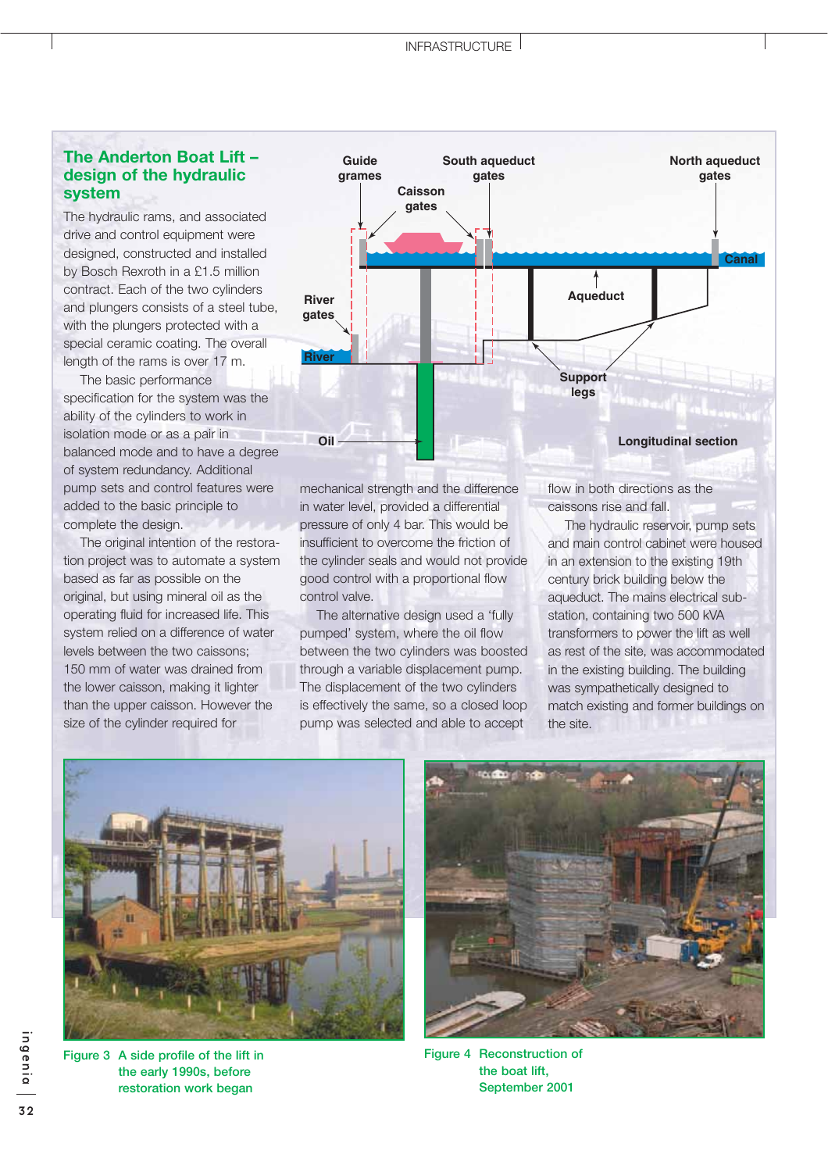# **The Anderton Boat Lift – design of the hydraulic system**

The hydraulic rams, and associated drive and control equipment were designed, constructed and installed by Bosch Rexroth in a £1.5 million contract. Each of the two cylinders and plungers consists of a steel tube, with the plungers protected with a special ceramic coating. The overall length of the rams is over 17 m.

The basic performance specification for the system was the ability of the cylinders to work in isolation mode or as a pair in balanced mode and to have a degree of system redundancy. Additional pump sets and control features were added to the basic principle to complete the design.

The original intention of the restoration project was to automate a system based as far as possible on the original, but using mineral oil as the operating fluid for increased life. This system relied on a difference of water levels between the two caissons; 150 mm of water was drained from the lower caisson, making it lighter than the upper caisson. However the size of the cylinder required for



mechanical strength and the difference in water level, provided a differential pressure of only 4 bar. This would be insufficient to overcome the friction of the cylinder seals and would not provide good control with a proportional flow control valve.

The alternative design used a 'fully pumped' system, where the oil flow between the two cylinders was boosted through a variable displacement pump. The displacement of the two cylinders is effectively the same, so a closed loop pump was selected and able to accept

flow in both directions as the caissons rise and fall.

The hydraulic reservoir, pump sets and main control cabinet were housed in an extension to the existing 19th century brick building below the aqueduct. The mains electrical substation, containing two 500 kVA transformers to power the lift as well as rest of the site, was accommodated in the existing building. The building was sympathetically designed to match existing and former buildings on the site.



**Figure 3 A side profile of the lift in the early 1990s, before restoration work began**



**Figure 4 Reconstruction of the boat lift, September 2001**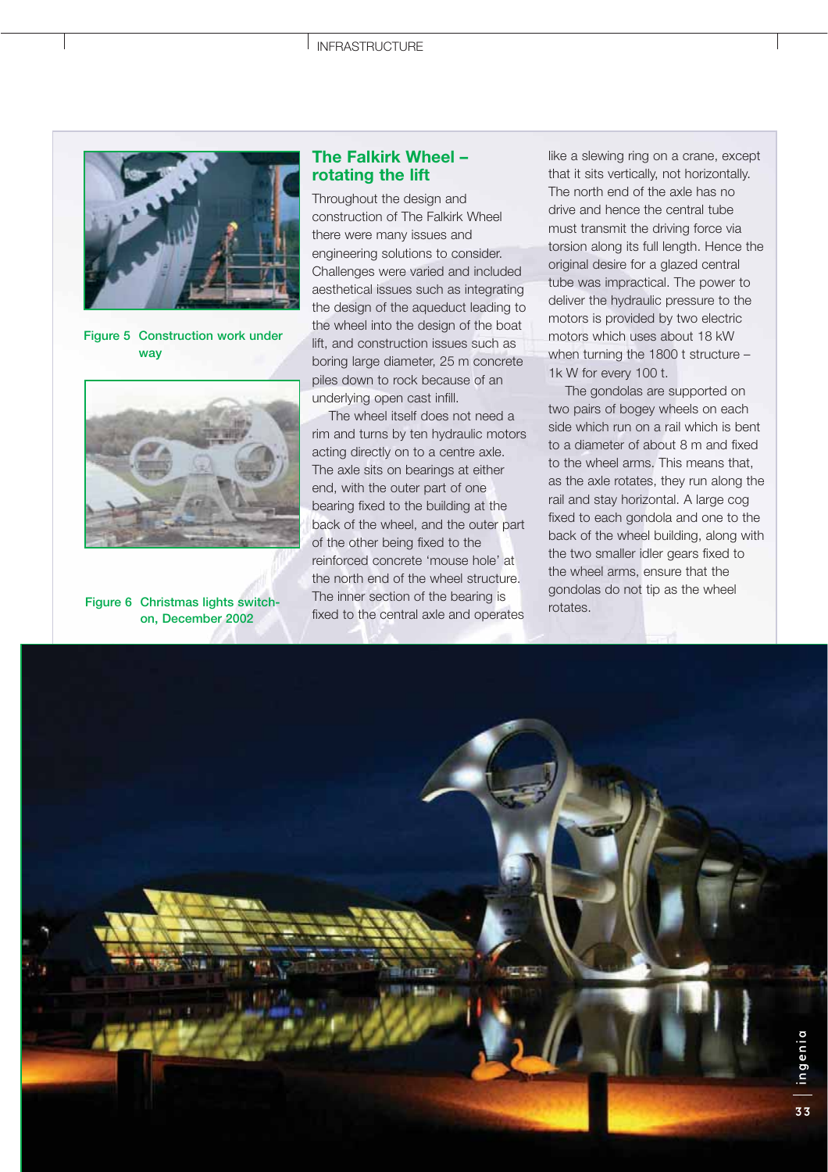

**Figure 5 Construction work under way**



**Figure 6 Christmas lights switchon, December 2002**

# **The Falkirk Wheel – rotating the lift**

Throughout the design and construction of The Falkirk Wheel there were many issues and engineering solutions to consider. Challenges were varied and included aesthetical issues such as integrating the design of the aqueduct leading to the wheel into the design of the boat lift, and construction issues such as boring large diameter, 25 m concrete piles down to rock because of an underlying open cast infill.

The wheel itself does not need a rim and turns by ten hydraulic motors acting directly on to a centre axle. The axle sits on bearings at either end, with the outer part of one bearing fixed to the building at the back of the wheel, and the outer part of the other being fixed to the reinforced concrete 'mouse hole' at the north end of the wheel structure. The inner section of the bearing is fixed to the central axle and operates

like a slewing ring on a crane, except that it sits vertically, not horizontally. The north end of the axle has no drive and hence the central tube must transmit the driving force via torsion along its full length. Hence the original desire for a glazed central tube was impractical. The power to deliver the hydraulic pressure to the motors is provided by two electric motors which uses about 18 kW when turning the 1800 t structure – 1k W for every 100 t.

The gondolas are supported on two pairs of bogey wheels on each side which run on a rail which is bent to a diameter of about 8 m and fixed to the wheel arms. This means that, as the axle rotates, they run along the rail and stay horizontal. A large cog fixed to each gondola and one to the back of the wheel building, along with the two smaller idler gears fixed to the wheel arms, ensure that the gondolas do not tip as the wheel rotates.